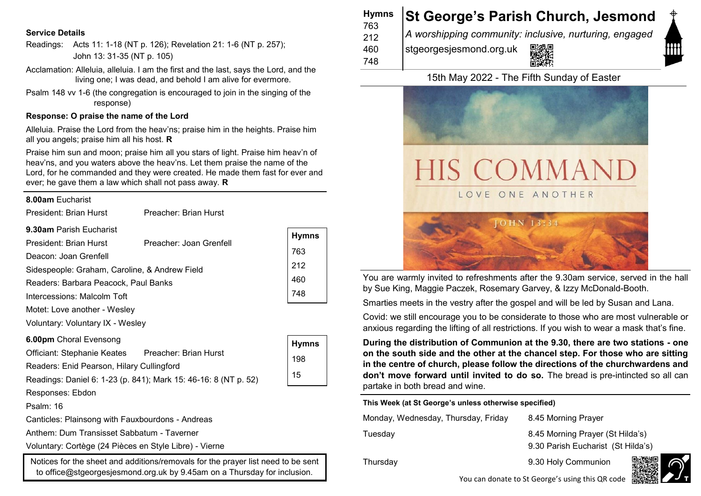#### **Service Details**

- Readings: Acts 11: 1-18 (NT p. 126); Revelation 21: 1-6 (NT p. 257); John 13: 31-35 (NT p. 105)
- Acclamation: Alleluia, alleluia. I am the first and the last, says the Lord, and the living one; I was dead, and behold I am alive for evermore.
- Psalm 148 vv 1-6 (the congregation is encouraged to join in the singing of the response)

#### **Response: O praise the name of the Lord**

Alleluia. Praise the Lord from the heav'ns; praise him in the heights. Praise him all you angels; praise him all his host. **R**

Praise him sun and moon; praise him all you stars of light. Praise him heav'n of heav'ns, and you waters above the heav'ns. Let them praise the name of the Lord, for he commanded and they were created. He made them fast for ever and ever; he gave them a law which shall not pass away. **R**

#### **8.00am** Eucharist

| President: Brian Hurst                          | Preacher: Brian Hurst   |              |
|-------------------------------------------------|-------------------------|--------------|
| <b>9.30am Parish Eucharist</b>                  |                         | <b>Hymns</b> |
| President: Brian Hurst<br>Deacon: Joan Grenfell | Preacher: Joan Grenfell | 763          |
| Sidespeople: Graham, Caroline, & Andrew Field   |                         | 212          |
| Readers: Barbara Peacock, Paul Banks            |                         | 460          |
| Intercessions: Malcolm Toft                     |                         | 748          |
| Motet: Love another - Wesley                    |                         |              |

Voluntary: Voluntary IX - Wesley

## **6.00pm** Choral Evensong

| <b>Officiant: Stephanie Keates</b> | Preacher: Brian Hurst |
|------------------------------------|-----------------------|
|                                    |                       |

Readers: Enid Pearson, Hilary Cullingford

Responses: Ebdon

Psalm: 16

Canticles: Plainsong with Fauxbourdons - Andreas

Anthem: Dum Transisset Sabbatum - Taverner

Voluntary: Cortège (24 Pièces en Style Libre) - Vierne

Notices for the sheet and additions/removals for the prayer list need to be sent to office@stgeorgesjesmond.org.uk by 9.45am on a Thursday for inclusion.

| <b>Hymns</b><br>763 | <b>St George's Parish Church, Jesmond</b>              |
|---------------------|--------------------------------------------------------|
| 212                 | A worshipping community: inclusive, nurturing, engaged |
| 460                 | stgeorgesjesmond.org.uk                                |
| 748                 |                                                        |

# 15th May 2022 - The Fifth Sunday of Easter



You are warmly invited to refreshments after the 9.30am service, served in the hall by Sue King, Maggie Paczek, Rosemary Garvey, & Izzy McDonald-Booth.

Smarties meets in the vestry after the gospel and will be led by Susan and Lana.

Covid: we still encourage you to be considerate to those who are most vulnerable or anxious regarding the lifting of all restrictions. If you wish to wear a mask that's fine.

**During the distribution of Communion at the 9.30, there are two stations - one on the south side and the other at the chancel step. For those who are sitting in the centre of church, please follow the directions of the churchwardens and don't move forward until invited to do so.** The bread is pre-intincted so all can partake in both bread and wine.

#### **This Week (at St George's unless otherwise specified)**

Monday, Wednesday, Thursday, Friday 8.45 Morning Prayer

**Hymns** 198 15

Tuesday 8.45 Morning Prayer (St Hilda's)

9.30 Parish Eucharist (St Hilda's)

Thursday 9.30 Holy Communion



You can donate to St George's using this QR code